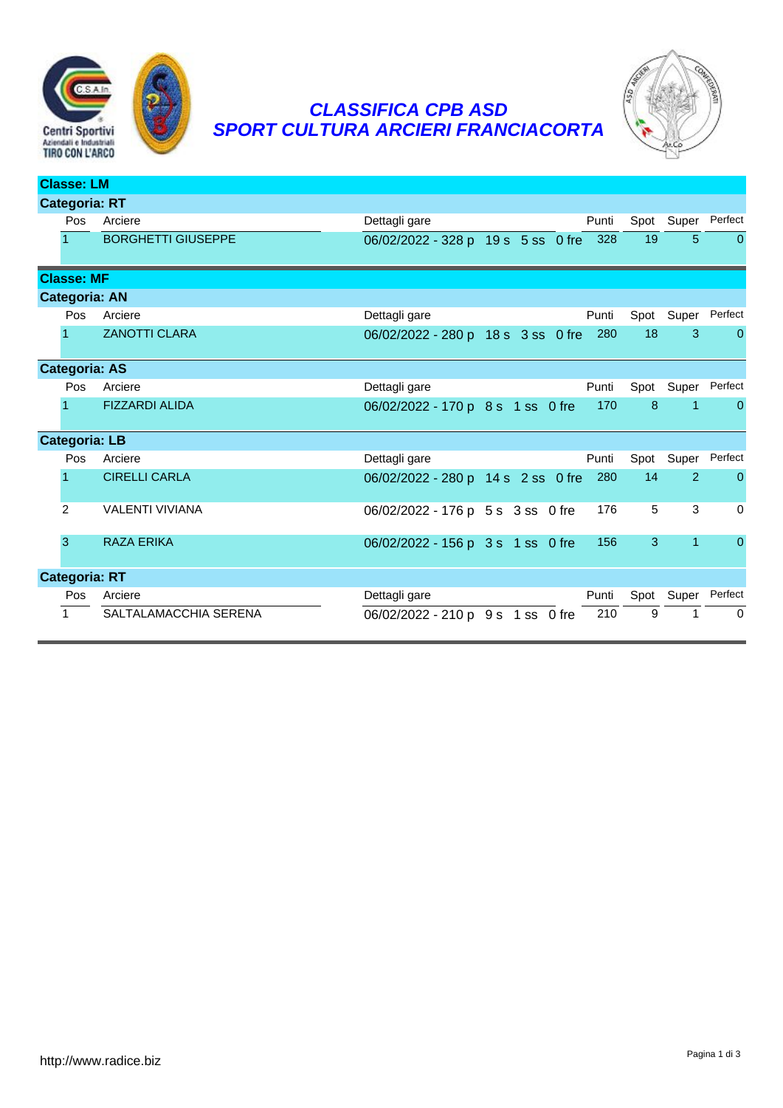

## *CLASSIFICA CPB ASD SPORT CULTURA ARCIERI FRANCIACORTA*



| <b>Classe: LM</b>    |                      |                           |                                    |  |  |               |                |                |  |  |
|----------------------|----------------------|---------------------------|------------------------------------|--|--|---------------|----------------|----------------|--|--|
| <b>Categoria: RT</b> |                      |                           |                                    |  |  |               |                |                |  |  |
|                      | Pos                  | Arciere                   | Dettagli gare                      |  |  | Punti         | Spot Super     | Perfect        |  |  |
|                      | 1                    | <b>BORGHETTI GIUSEPPE</b> | 06/02/2022 - 328 p 19 s 5 ss 0 fre |  |  | 328<br>19     | $5\phantom{1}$ | $\overline{0}$ |  |  |
|                      | <b>Classe: MF</b>    |                           |                                    |  |  |               |                |                |  |  |
|                      | <b>Categoria: AN</b> |                           |                                    |  |  |               |                |                |  |  |
|                      | Pos                  | Arciere                   | Dettagli gare                      |  |  | Punti<br>Spot | Super          | Perfect        |  |  |
|                      |                      | <b>ZANOTTI CLARA</b>      | 06/02/2022 - 280 p 18 s 3 ss 0 fre |  |  | 280<br>18     | 3              | $\mathbf{0}$   |  |  |
|                      | <b>Categoria: AS</b> |                           |                                    |  |  |               |                |                |  |  |
|                      | Pos                  | Arciere                   | Dettagli gare                      |  |  | Punti         | Spot Super     | Perfect        |  |  |
|                      | 1                    | <b>FIZZARDI ALIDA</b>     | 06/02/2022 - 170 p 8 s 1 ss 0 fre  |  |  | 8<br>170      | $\mathbf{1}$   | $\Omega$       |  |  |
|                      | <b>Categoria: LB</b> |                           |                                    |  |  |               |                |                |  |  |
|                      | Pos                  | Arciere                   | Dettagli gare                      |  |  | Punti         | Spot Super     | Perfect        |  |  |
|                      |                      | <b>CIRELLI CARLA</b>      | 06/02/2022 - 280 p 14 s 2 ss 0 fre |  |  | 14<br>280     | $\overline{2}$ | $\Omega$       |  |  |
|                      | 2                    | <b>VALENTI VIVIANA</b>    | 06/02/2022 - 176 p 5 s 3 ss 0 fre  |  |  | 5<br>176      | 3              | $\Omega$       |  |  |
|                      | 3                    | <b>RAZA ERIKA</b>         | 06/02/2022 - 156 p 3 s 1 ss 0 fre  |  |  | 3<br>156      | $\mathbf{1}$   | $\mathbf{0}$   |  |  |
| <b>Categoria: RT</b> |                      |                           |                                    |  |  |               |                |                |  |  |
|                      | Pos                  | Arciere                   | Dettagli gare                      |  |  | Punti<br>Spot | Super          | Perfect        |  |  |
|                      | 1                    | SALTALAMACCHIA SERENA     | 06/02/2022 - 210 p 9 s 1 ss 0 fre  |  |  | 9<br>210      | 1              | $\mathbf 0$    |  |  |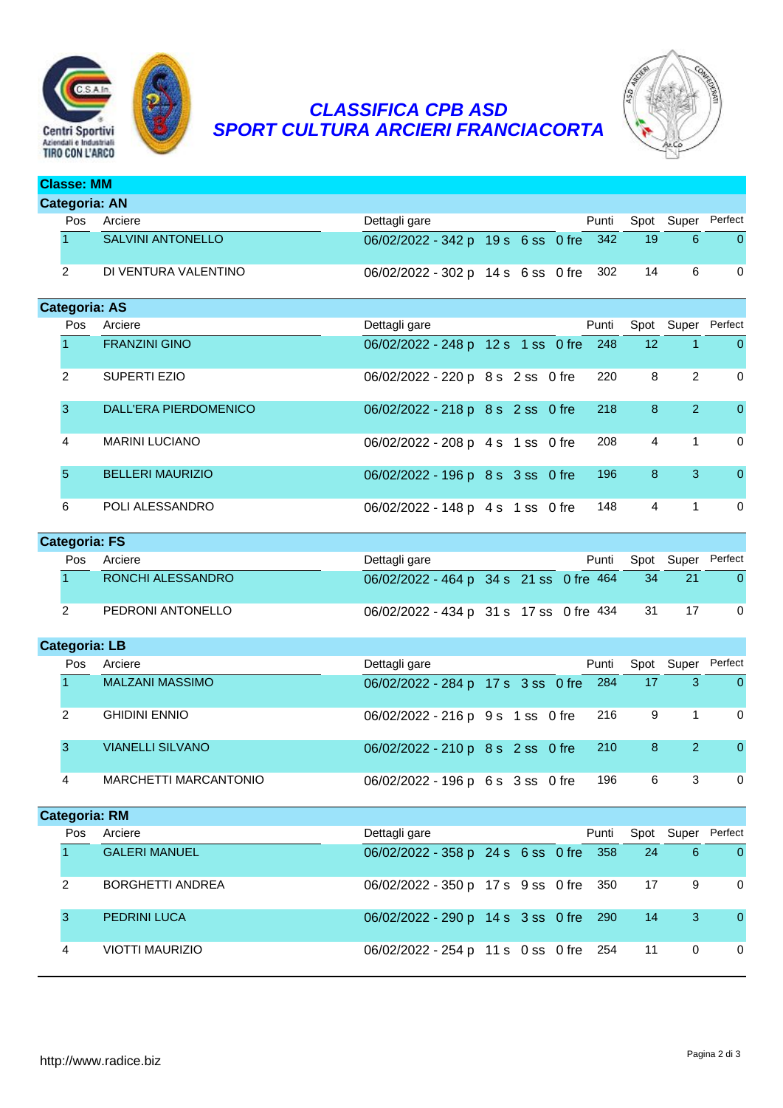

**Classe: MM**

## *CLASSIFICA CPB ASD SPORT CULTURA ARCIERI FRANCIACORTA*



# **Categoria: AN** Pos Arciere **Dettagli gare** Dettagli gare Punti Spot Super Perfect 1 SALVINI ANTONELLO 06/02/2022 - 342 p 19 s 6 ss 0 fre 342 19 6 0 2 DI VENTURA VALENTINO 06/02/2022 - 302 p 14 s 6 ss 0 fre 302 14 6 0 **Categoria: AS** Pos Arciere **Punti Spot Super Perfect** Punti Spot Super Perfect 1 FRANZINI GINO 06/02/2022 - 248 p 12 s 1 ss 0 fre 248 12 1 0 2 SUPERTI EZIO 06/02/2022 - 220 p 8 s 2 ss 0 fre 220 8 2 0 3 DALL'ERA PIERDOMENICO 06/02/2022 - 218 p 8 s 2 ss 0 fre 218 8 2 0 4 MARINI LUCIANO 06/02/2022 - 208 p 4 s 1 ss 0 fre 208 4 1 0 5 BELLERI MAURIZIO 06/02/2022 - 196 p 8 s 3 ss 0 fre 196 8 3 0 6 POLI ALESSANDRO 06/02/2022 - 148 p 4 s 1 ss 0 fre 148 4 1 0 **Categoria: FS**

| Pos | Arciere           | Dettagli gare                              |  | Punti |      | Spot Super Perfect |
|-----|-------------------|--------------------------------------------|--|-------|------|--------------------|
|     | RONCHI ALESSANDRO | 06/02/2022 - 464 p 34 s 21 ss 0 fre 464 34 |  |       |      |                    |
|     | PEDRONI ANTONELLO | 06/02/2022 - 434 p 31 s 17 ss 0 fre 434    |  |       | - 31 |                    |

### **Categoria: LB**

| Pos | Arciere                 | Dettagli gare                             |  | Punti |   |   | Spot Super Perfect |
|-----|-------------------------|-------------------------------------------|--|-------|---|---|--------------------|
|     | <b>MALZANI MASSIMO</b>  | 06/02/2022 - 284 p 17 s 3 ss 0 fre 284 17 |  |       |   |   | 0                  |
|     | <b>GHIDINI ENNIO</b>    | 06/02/2022 - 216 p 9 s 1 ss 0 fre 216     |  |       | 9 |   | $\Omega$           |
|     | <b>VIANELLI SILVANO</b> | 06/02/2022 - 210 p 8 s 2 ss 0 fre 210     |  |       | 8 |   | $\Omega$           |
|     | MARCHETTI MARCANTONIO   | 06/02/2022 - 196 p 6 s 3 ss 0 fre         |  | 196   | 6 | 3 | $\Omega$           |

#### **Categoria: RM**

| Pos | Arciere                 | Dettagli gare                          |  | Punti |     |   | Spot Super Perfect |
|-----|-------------------------|----------------------------------------|--|-------|-----|---|--------------------|
|     | <b>GALERI MANUEL</b>    | 06/02/2022 - 358 p 24 s 6 ss 0 fre 358 |  |       | -24 | 6 | $\Omega$           |
|     | <b>BORGHETTI ANDREA</b> | 06/02/2022 - 350 p 17 s 9 ss 0 fre 350 |  |       | 17  |   | $\Omega$           |
|     | <b>PEDRINI LUCA</b>     | 06/02/2022 - 290 p 14 s 3 ss 0 fre 290 |  |       | 14  |   | $\Omega$           |
|     | <b>VIOTTI MAURIZIO</b>  | 06/02/2022 - 254 p 11 s 0 ss 0 fre 254 |  |       | 11  | 0 | 0                  |